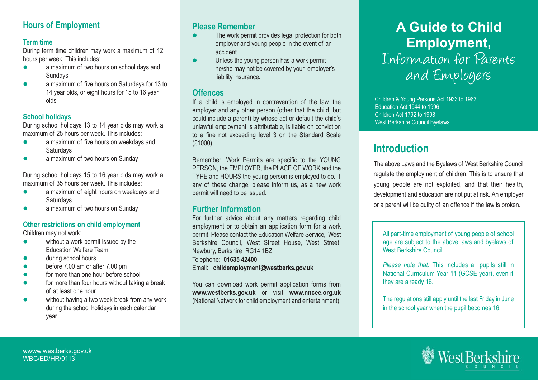### **Hours of Employment**

### **Term time**

During term time children may work a maximum of 12 hours per week. This includes:

- a maximum of two hours on school days and **Sundays**
- $\bullet$  a maximum of five hours on Saturdays for 13 to 14 year olds, or eight hours for 15 to 16 year olds

### **School holidays**

During school holidays 13 to 14 year olds may work a maximum of 25 hours per week. This includes:

- $\bullet$  a maximum of five hours on weekdays and **Saturdays**
- $\bullet$ a maximum of two hours on Sunday

During school holidays 15 to 16 year olds may work a maximum of 35 hours per week. This includes:

- $\bullet$  a maximum of eight hours on weekdays and **Saturdays**
- $\bullet$ a maximum of two hours on Sunday

### **Other restrictions on child employment**

Children may not work:

- $\bullet$  without a work permit issued by the Education Welfare Team
- during school hours
- $\bullet$ before 7.00 am or after 7.00 pm
- $\bullet$ for more than one hour before school
- $\bullet$  for more than four hours without taking a break of at least one hour
- without having a two week break from any work during the school holidays in each calendar year

### **Please Remember**

- - The work permit provides legal protection for both employer and young people in the event of an accident
- - Unless the young person has a work permit he/she may not be covered by your employer's liability insurance.

### **Offences**

If a child is employed in contravention of the law, the employer and any other person (other that the child, but could include a parent) by whose act or default the child's unlawful employment is attributable, is liable on conviction to a fine not exceeding level 3 on the Standard Scale (£1000).

Remember; Work Permits are specific to the YOUNG PERSON, the EMPLOYER, the PLACE OF WORK and the TYPE and HOURS the young person is employed to do. If any of these change, please inform us, as a new work permit will need to be issued.

# **Further Information**

For further advice about any matters regarding child employment or to obtain an application form for a work permit. Please contact the Education Welfare Service, West Berkshire Council, West Street House, West Street, Newbury, Berkshire RG14 1BZ Telephone: **01635 42400**  Email: **childemployment@westberks.gov.uk**

You can download work permit application forms from **www.westberks.gov.uk** or visit **www.nncee.org.uk** (National Network for child employment and entertainment).

# **A Guide to Child Employment,**  Information for Parents and Employers

Children & Young Persons Act 1933 to 1963 Education Act 1944 to 1996 Children Act 1792 to 1998 West Berkshire Council Byelaws

# **Introduction**

The above Laws and the Byelaws of West Berkshire Council regulate the employment of children. This is to ensure that young people are not exploited, and that their health, development and education are not put at risk. An employer or a parent will be guilty of an offence if the law is broken.

All part-time employment of young people of school age are subject to the above laws and byelaws of West Berkshire Council.

*Please note that:* This includes all pupils still in National Curriculum Year 11 (GCSE year), even if they are already 16.

The regulations still apply until the last Friday in June in the school year when the pupil becomes 16.